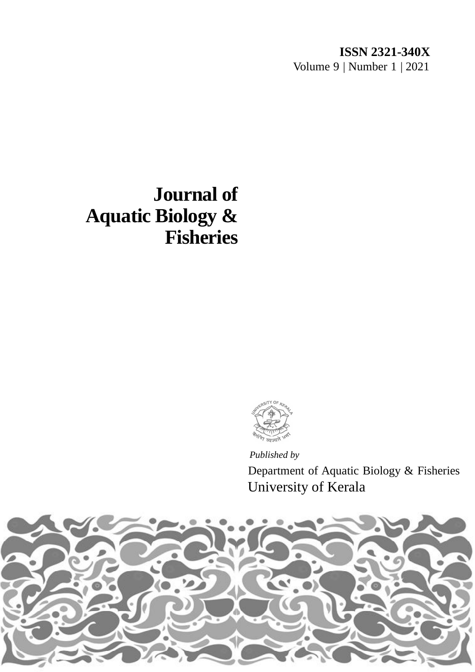## **ISSN 2321-340X** Volume 9 | Number 1 | 2021

# **Journal of Aquatic Biology & Fisheries**



*Published by* University of Kerala Department of Aquatic Biology & Fisheries

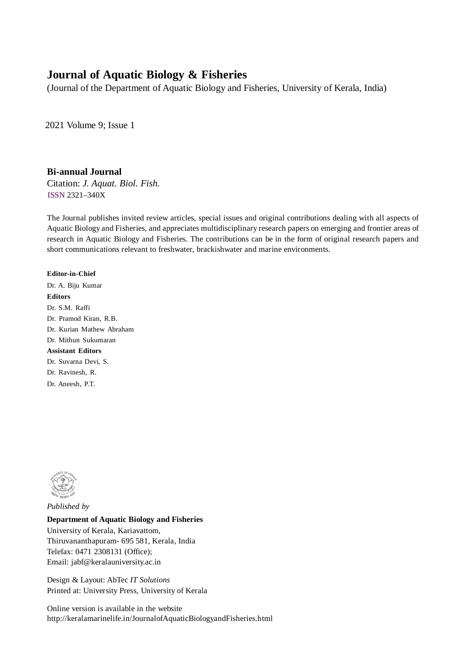### **Journal of Aquatic Biology & Fisheries**

(Journal of the Department of Aquatic Biology and Fisheries, University of Kerala, India)

2021 Volume 9; Issue 1

#### **Bi-annual Journal**

Citation: *J. Aquat. Biol. Fish.* ISSN 2321–340X

The Journal publishes invited review articles, special issues and original contributions dealing with all aspects of Aquatic Biology and Fisheries, and appreciates multidisciplinary research papers on emerging and frontier areas of research in Aquatic Biology and Fisheries. The contributions can be in the form of original research papers and short communications relevant to freshwater, brackishwater and marine environments.

#### **Editor-in-Chief**

Dr. A. Biju Kumar **Editors** Dr. S.M. Raffi Dr. Pramod Kiran, R.B. Dr. Kurian Mathew Abraham Dr. Mithun Sukumaran **Assistant Editors** Dr. Suvarna Devi, S. Dr. Ravinesh, R.

Dr. Aneesh, P.T.



*Published by*

#### **Department of Aquatic Biology and Fisheries**

University of Kerala, Kariavattom, Thiruvananthapuram- 695 581, Kerala, India Telefax: 0471 2308131 (Office); Email: jabf@keralauniversity.ac.in

Design & Layout: AbTec *IT Solutions* Printed at: University Press, University of Kerala

Online version is available in the website http://keralamarinelife.in/JournalofAquaticBiologyandFisheries.html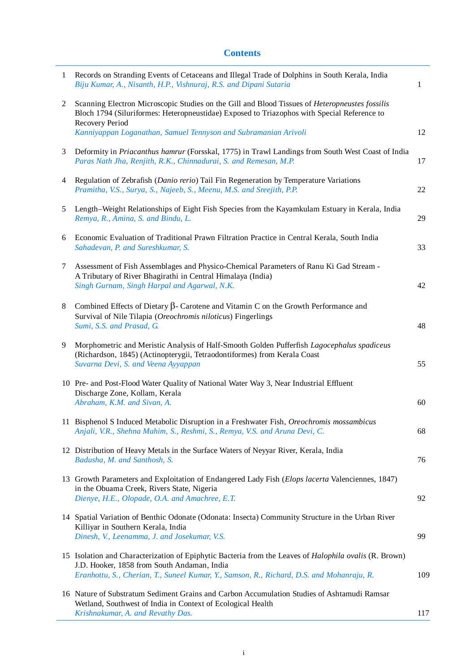#### **Contents**

| 1 | Records on Stranding Events of Cetaceans and Illegal Trade of Dolphins in South Kerala, India<br>Biju Kumar, A., Nisanth, H.P., Vishnuraj, R.S. and Dipani Sutaria                                               | 1   |
|---|------------------------------------------------------------------------------------------------------------------------------------------------------------------------------------------------------------------|-----|
| 2 | Scanning Electron Microscopic Studies on the Gill and Blood Tissues of Heteropneustes fossilis<br>Bloch 1794 (Siluriformes: Heteropneustidae) Exposed to Triazophos with Special Reference to<br>Recovery Period |     |
|   | Kanniyappan Loganathan, Samuel Tennyson and Subramanian Arivoli                                                                                                                                                  | 12  |
| 3 | Deformity in Priacanthus hamrur (Forsskal, 1775) in Trawl Landings from South West Coast of India<br>Paras Nath Jha, Renjith, R.K., Chinnadurai, S. and Remesan, M.P.                                            | 17  |
| 4 | Regulation of Zebrafish (Danio rerio) Tail Fin Regeneration by Temperature Variations<br>Pramitha, V.S., Surya, S., Najeeb, S., Meenu, M.S. and Sreejith, P.P.                                                   | 22  |
| 5 | Length-Weight Relationships of Eight Fish Species from the Kayamkulam Estuary in Kerala, India<br>Remya, R., Amina, S. and Bindu, L.                                                                             | 29  |
| 6 | Economic Evaluation of Traditional Prawn Filtration Practice in Central Kerala, South India<br>Sahadevan, P. and Sureshkumar, S.                                                                                 | 33  |
| 7 | Assessment of Fish Assemblages and Physico-Chemical Parameters of Ranu Ki Gad Stream -<br>A Tributary of River Bhagirathi in Central Himalaya (India)<br>Singh Gurnam, Singh Harpal and Agarwal, N.K.            | 42  |
| 8 | Combined Effects of Dietary $\beta$ - Carotene and Vitamin C on the Growth Performance and<br>Survival of Nile Tilapia (Oreochromis niloticus) Fingerlings<br>Sumi, S.S. and Prasad, G.                          | 48  |
| 9 | Morphometric and Meristic Analysis of Half-Smooth Golden Pufferfish Lagocephalus spadiceus<br>(Richardson, 1845) (Actinopterygii, Tetraodontiformes) from Kerala Coast<br>Suvarna Devi, S. and Veena Ayyappan    | 55  |
|   | 10 Pre- and Post-Flood Water Quality of National Water Way 3, Near Industrial Effluent<br>Discharge Zone, Kollam, Kerala<br>Abraham, K.M. and Sivan, A.                                                          | 60  |
|   | 11 Bisphenol S Induced Metabolic Disruption in a Freshwater Fish, Oreochromis mossambicus<br>Anjali, V.R., Shehna Mahim, S., Reshmi, S., Remya, V.S. and Aruna Devi, C.                                          | 68  |
|   | 12 Distribution of Heavy Metals in the Surface Waters of Neyyar River, Kerala, India<br>Badusha, M. and Santhosh, S.                                                                                             | 76  |
|   | 13 Growth Parameters and Exploitation of Endangered Lady Fish (Elops lacerta Valenciennes, 1847)<br>in the Obuama Creek, Rivers State, Nigeria<br>Dienye, H.E., Olopade, O.A. and Amachree, E.T.                 | 92  |
|   | 14 Spatial Variation of Benthic Odonate (Odonata: Insecta) Community Structure in the Urban River<br>Killiyar in Southern Kerala, India<br>Dinesh, V., Leenamma, J. and Josekumar, V.S.                          | 99  |
|   | 15 Isolation and Characterization of Epiphytic Bacteria from the Leaves of <i>Halophila ovalis</i> (R. Brown)<br>J.D. Hooker, 1858 from South Andaman, India                                                     |     |
|   | Eranhottu, S., Cherian, T., Suneel Kumar, Y., Samson, R., Richard, D.S. and Mohanraju, R.                                                                                                                        | 109 |
|   | 16 Nature of Substratum Sediment Grains and Carbon Accumulation Studies of Ashtamudi Ramsar<br>Wetland, Southwest of India in Context of Ecological Health                                                       |     |
|   | Krishnakumar, A. and Revathy Das.                                                                                                                                                                                | 117 |